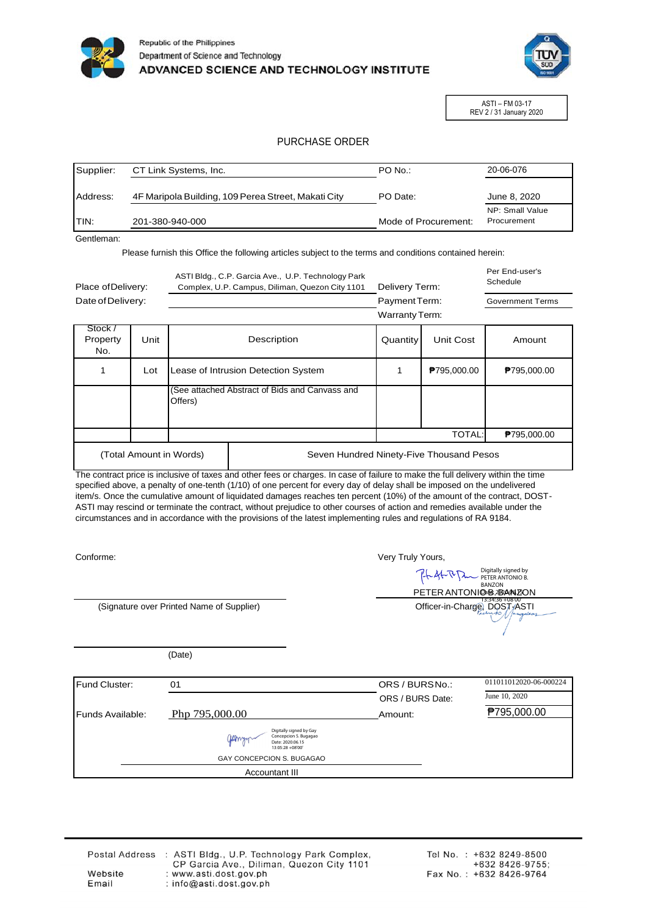



ASTI – FM 03-17 REV 2 / 31 January 2020

## PURCHASE ORDER

| Supplier: | CT Link Systems, Inc.                               | PO No.:              | 20-06-076                      |
|-----------|-----------------------------------------------------|----------------------|--------------------------------|
| Address:  | 4F Maripola Building, 109 Perea Street, Makati City | PO Date:             | June 8, 2020                   |
| ITIN:     | 201-380-940-000                                     | Mode of Procurement: | NP: Small Value<br>Procurement |

Gentleman:

Please furnish this Office the following articles subject to the terms and conditions contained herein:

| Place of Delivery:         |      | ASTI Bldg., C.P. Garcia Ave., U.P. Technology Park<br>Complex, U.P. Campus, Diliman, Quezon City 1101 |                                                | Delivery Term:        |             | Per End-user's<br>Schedule |
|----------------------------|------|-------------------------------------------------------------------------------------------------------|------------------------------------------------|-----------------------|-------------|----------------------------|
| Date of Delivery:          |      |                                                                                                       |                                                | Payment Term:         |             | <b>Government Terms</b>    |
|                            |      |                                                                                                       |                                                | <b>Warranty Term:</b> |             |                            |
| Stock /<br>Property<br>No. | Unit |                                                                                                       | Description                                    | Quantity              | Unit Cost   | Amount                     |
| 1                          | Lot  |                                                                                                       | Lease of Intrusion Detection System            |                       | ₱795,000.00 | <b>P</b> 795,000.00        |
|                            |      | Offers)                                                                                               | (See attached Abstract of Bids and Canvass and |                       |             |                            |
|                            |      |                                                                                                       |                                                |                       | TOTAL:      | P795,000.00                |
| (Total Amount in Words)    |      |                                                                                                       | Seven Hundred Ninety-Five Thousand Pesos       |                       |             |                            |

The contract price is inclusive of taxes and other fees or charges. In case of failure to make the full delivery within the time specified above, a penalty of one-tenth (1/10) of one percent for every day of delay shall be imposed on the undelivered item/s. Once the cumulative amount of liquidated damages reaches ten percent (10%) of the amount of the contract, DOST-ASTI may rescind or terminate the contract, without prejudice to other courses of action and remedies available under the circumstances and in accordance with the provisions of the latest implementing rules and regulations of RA 9184.

Conforme:

Very Truly Yours,

Digitally signed by PETER ANTONIO B. 队外队 **BANZON** PETER ANTONI**O**-B-2BAN 23ON 13:34:36 +08'00<br>Officer-in-Charge, DOST<sub>J</sub>/ASTI

(Signature over Printed Name of Supplier)

(Date)

| Fund Cluster:    | 01                                                                                       | ORS / BURSNo.:   | 011011012020-06-000224 |
|------------------|------------------------------------------------------------------------------------------|------------------|------------------------|
|                  |                                                                                          | ORS / BURS Date: | June 10, 2020          |
| Funds Available: | Php 795,000.00                                                                           | Amount:          | ₱795,000.00            |
|                  | Digitally signed by Gay<br>Concepcion S. Bugagao<br>Date: 2020.06.15<br>13:05:28 +08'00" |                  |                        |
|                  | GAY CONCEPCION S. BUGAGAO                                                                |                  |                        |
|                  | Accountant III                                                                           |                  |                        |

 $\ddot{\cdot}$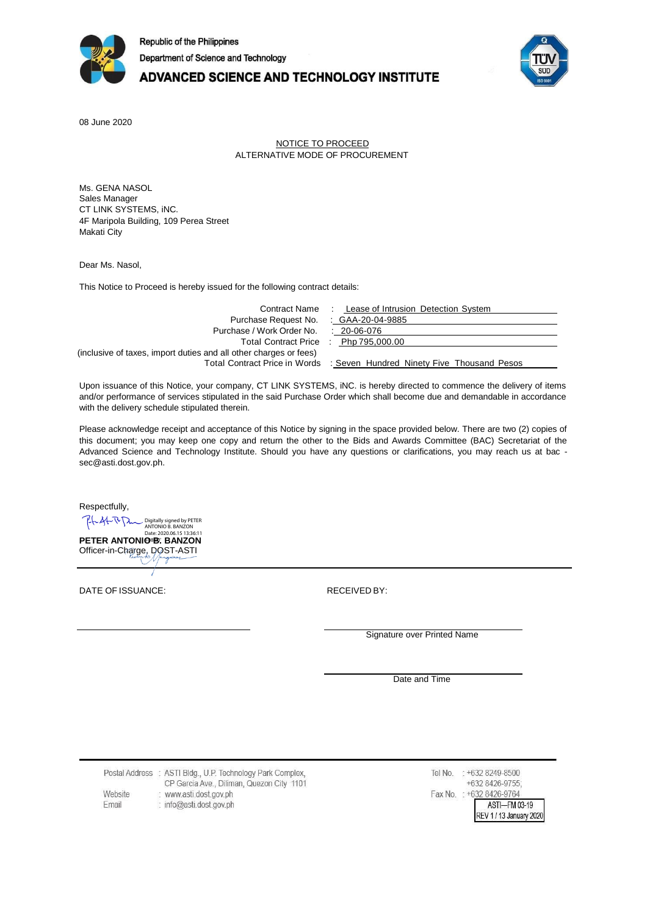

# ADVANCED SCIENCE AND TECHNOLOGY INSTITUTE



08 June 2020

#### NOTICE TO PROCEED ALTERNATIVE MODE OF PROCUREMENT

Ms. GENA NASOL Sales Manager CT LINK SYSTEMS, iNC. 4F Maripola Building, 109 Perea Street Makati City

Dear Ms. Nasol,

This Notice to Proceed is hereby issued for the following contract details:

|                                                                   | Contract Name : Lease of Intrusion Detection System                      |
|-------------------------------------------------------------------|--------------------------------------------------------------------------|
| Purchase Request No. : GAA-20-04-9885                             |                                                                          |
| Purchase / Work Order No.                                         | . 20-06-076                                                              |
| Total Contract Price : Php 795,000.00                             |                                                                          |
| (inclusive of taxes, import duties and all other charges or fees) |                                                                          |
|                                                                   | Total Contract Price in Words : Seven Hundred Ninety Five Thousand Pesos |

Upon issuance of this Notice, your company, CT LINK SYSTEMS, iNC. is hereby directed to commence the delivery of items and/or performance of services stipulated in the said Purchase Order which shall become due and demandable in accordance with the delivery schedule stipulated therein.

Please acknowledge receipt and acceptance of this Notice by signing in the space provided below. There are two (2) copies of this document; you may keep one copy and return the other to the Bids and Awards Committee (BAC) Secretariat of the Advanced Science and Technology Institute. Should you have any questions or clarifications, you may reach us at bac [sec@asti.dost.gov.ph.](mailto:sec@asti.dost.gov.ph)

Respectfully,

LLALRD Digitally signed by PETER ANTONIO B. BANZON **PETER ANTONIO<sup>B</sup>B**: **BANZON** 

Officer-in-Charge, DOST-ASTI

DATE OF ISSUANCE: The contract of the RECEIVED BY:

Signature over Printed Name

Date and Time

Postal Address : ASTI Bldg., U.P. Technology Park Complex, CP Garcia Ave., Diliman, Quezon City 1101 Website : www.asti.dost.gov.ph Email : info@asti.dost.gov.ph

Tel No. : +632 8249-8500 +632 8426-9755; Fax No. : +632 8426-9764 ASTI-FM 03-19 REV 1 / 13 January 2020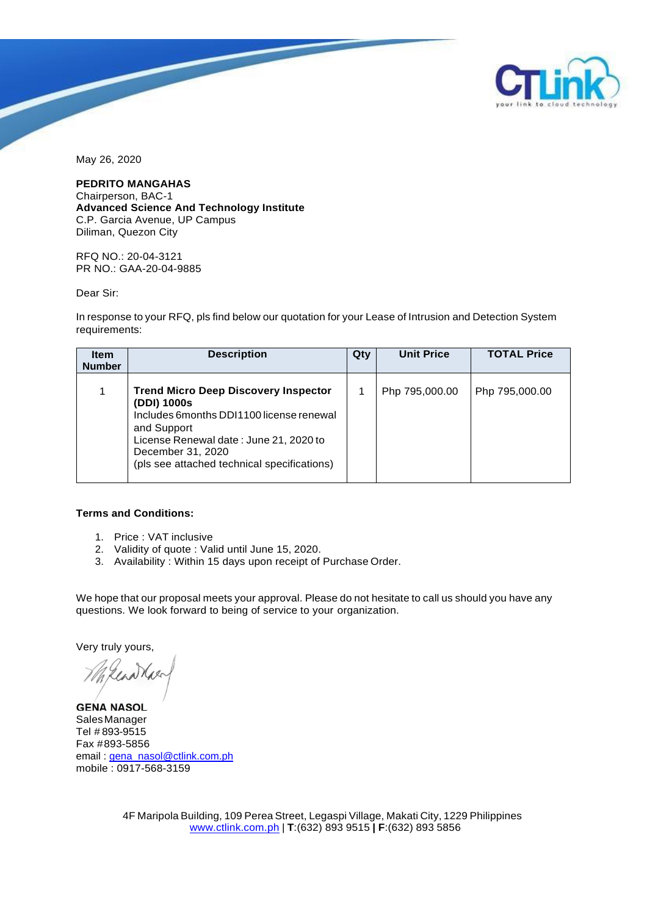

May 26, 2020

**PEDRITO MANGAHAS**

Chairperson, BAC-1 **Advanced Science And Technology Institute** C.P. Garcia Avenue, UP Campus Diliman, Quezon City

RFQ NO.: 20-04-3121 PR NO.: GAA-20-04-9885

Dear Sir:

In response to your RFQ, pls find below our quotation for your Lease of Intrusion and Detection System requirements:

| <b>Item</b><br><b>Number</b> | <b>Description</b>                                                                                                                                                                                                                   | Qty | <b>Unit Price</b> | <b>TOTAL Price</b> |
|------------------------------|--------------------------------------------------------------------------------------------------------------------------------------------------------------------------------------------------------------------------------------|-----|-------------------|--------------------|
| 1                            | <b>Trend Micro Deep Discovery Inspector</b><br>(DDI) 1000s<br>Includes 6 months DDI1100 license renewal<br>and Support<br>License Renewal date: June 21, 2020 to<br>December 31, 2020<br>(pls see attached technical specifications) |     | Php 795,000.00    | Php 795,000.00     |

### **Terms and Conditions:**

- 1. Price : VAT inclusive
- 2. Validity of quote : Valid until June 15, 2020.
- 3. Availability : Within 15 days upon receipt of Purchase Order.

We hope that our proposal meets your approval. Please do not hesitate to call us should you have any questions. We look forward to being of service to your organization.

Very truly yours,

Kenaka

SalesManager Tel # 893-9515 Fax #893-5856 email : [gena\\_nasol@ctlink.com.ph](mailto:gena_nasol@ctlink.com.ph) mobile : 0917-568-3159 **GENA NASOL**

4F Maripola Building, 109 Perea Street, Legaspi Village, Makati City, 1229 Philippines [www.ctlink.com.ph](http://www.ctlink.com.ph/) | **T**:(632) 893 9515 **| F**:(632) 893 5856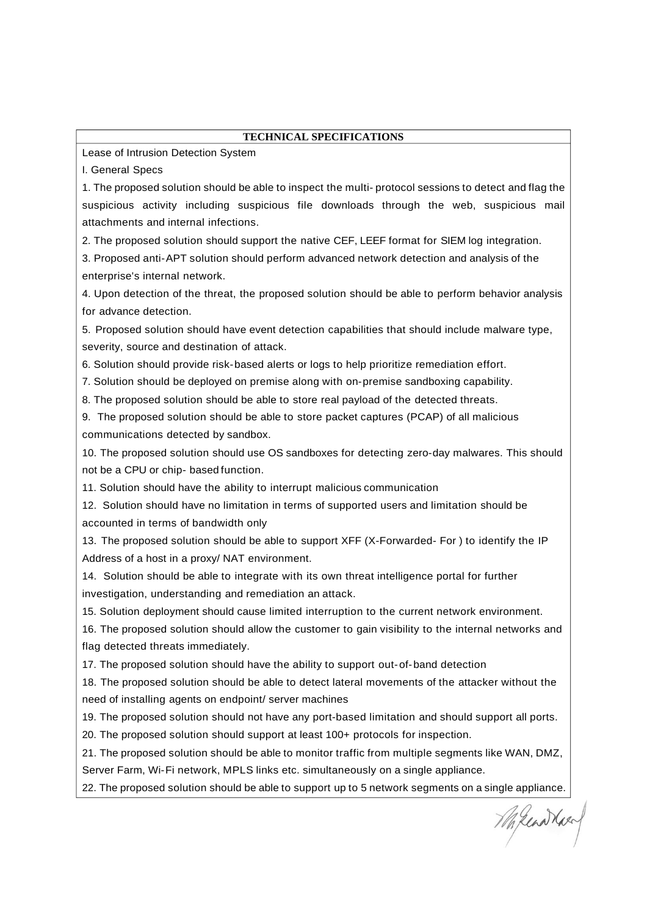### **TECHNICAL SPECIFICATIONS**

Lease of Intrusion Detection System

I. General Specs

1. The proposed solution should be able to inspect the multi- protocol sessions to detect and flag the suspicious activity including suspicious file downloads through the web, suspicious mail attachments and internal infections.

2. The proposed solution should support the native CEF, LEEF format for SIEM log integration.

3. Proposed anti-APT solution should perform advanced network detection and analysis of the enterprise's internal network.

4. Upon detection of the threat, the proposed solution should be able to perform behavior analysis for advance detection.

5. Proposed solution should have event detection capabilities that should include malware type, severity, source and destination of attack.

6. Solution should provide risk-based alerts or logs to help prioritize remediation effort.

7. Solution should be deployed on premise along with on-premise sandboxing capability.

8. The proposed solution should be able to store real payload of the detected threats.

9. The proposed solution should be able to store packet captures (PCAP) of all malicious communications detected by sandbox.

10. The proposed solution should use OS sandboxes for detecting zero-day malwares. This should not be a CPU or chip- based function.

11. Solution should have the ability to interrupt malicious communication

12. Solution should have no limitation in terms of supported users and limitation should be accounted in terms of bandwidth only

13. The proposed solution should be able to support XFF (X-Forwarded- For ) to identify the IP Address of a host in a proxy/ NAT environment.

14. Solution should be able to integrate with its own threat intelligence portal for further investigation, understanding and remediation an attack.

15. Solution deployment should cause limited interruption to the current network environment.

16. The proposed solution should allow the customer to gain visibility to the internal networks and flag detected threats immediately.

17. The proposed solution should have the ability to support out-of-band detection

18. The proposed solution should be able to detect lateral movements of the attacker without the need of installing agents on endpoint/ server machines

19. The proposed solution should not have any port-based limitation and should support all ports.

20. The proposed solution should support at least 100+ protocols for inspection.

21. The proposed solution should be able to monitor traffic from multiple segments like WAN, DMZ, Server Farm, Wi-Fi network, MPLS links etc. simultaneously on a single appliance.

22. The proposed solution should be able to support up to 5 network segments on a single appliance.

Milenathary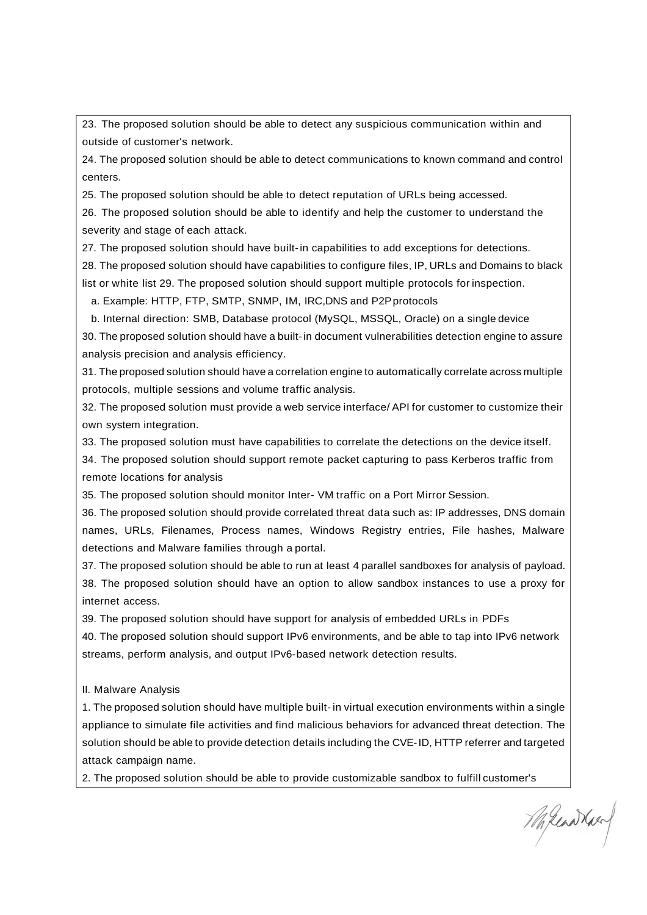23. The proposed solution should be able to detect any suspicious communication within and outside of customer's network.

24. The proposed solution should be able to detect communications to known command and control centers.

25. The proposed solution should be able to detect reputation of URLs being accessed.

26. The proposed solution should be able to identify and help the customer to understand the severity and stage of each attack.

27. The proposed solution should have built-in capabilities to add exceptions for detections.

28. The proposed solution should have capabilities to configure files, IP, URLs and Domains to black list or white list 29. The proposed solution should support multiple protocols for inspection.

a. Example: HTTP, FTP, SMTP, SNMP, IM, IRC,DNS and P2Pprotocols

b. Internal direction: SMB, Database protocol (MySQL, MSSQL, Oracle) on a single device

30. The proposed solution should have a built-in document vulnerabilities detection engine to assure analysis precision and analysis efficiency.

31. The proposed solution should have a correlation engine to automatically correlate across multiple protocols, multiple sessions and volume traffic analysis.

32. The proposed solution must provide a web service interface/ API for customer to customize their own system integration.

33. The proposed solution must have capabilities to correlate the detections on the device itself.

34. The proposed solution should support remote packet capturing to pass Kerberos traffic from remote locations for analysis

35. The proposed solution should monitor Inter- VM traffic on a Port Mirror Session.

36. The proposed solution should provide correlated threat data such as: IP addresses, DNS domain names, URLs, Filenames, Process names, Windows Registry entries, File hashes, Malware detections and Malware families through a portal.

37. The proposed solution should be able to run at least 4 parallel sandboxes for analysis of payload. 38. The proposed solution should have an option to allow sandbox instances to use a proxy for internet access.

39. The proposed solution should have support for analysis of embedded URLs in PDFs

40. The proposed solution should support IPv6 environments, and be able to tap into IPv6 network streams, perform analysis, and output IPv6-based network detection results.

II. Malware Analysis

1. The proposed solution should have multiple built- in virtual execution environments within a single appliance to simulate file activities and find malicious behaviors for advanced threat detection. The solution should be able to provide detection details including the CVE-ID, HTTP referrer and targeted attack campaign name.

2. The proposed solution should be able to provide customizable sandbox to fulfill customer's

Mikenather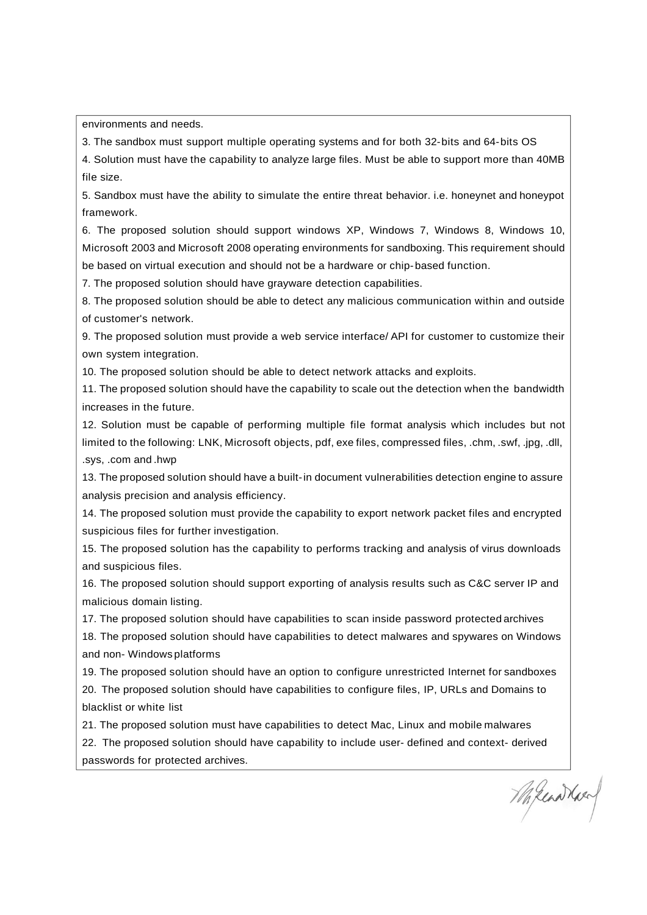environments and needs.

3. The sandbox must support multiple operating systems and for both 32-bits and 64-bits OS

4. Solution must have the capability to analyze large files. Must be able to support more than 40MB file size.

5. Sandbox must have the ability to simulate the entire threat behavior. i.e. honeynet and honeypot framework.

6. The proposed solution should support windows XP, Windows 7, Windows 8, Windows 10, Microsoft 2003 and Microsoft 2008 operating environments for sandboxing. This requirement should be based on virtual execution and should not be a hardware or chip-based function.

7. The proposed solution should have grayware detection capabilities.

8. The proposed solution should be able to detect any malicious communication within and outside of customer's network.

9. The proposed solution must provide a web service interface/ API for customer to customize their own system integration.

10. The proposed solution should be able to detect network attacks and exploits.

11. The proposed solution should have the capability to scale out the detection when the bandwidth increases in the future.

12. Solution must be capable of performing multiple file format analysis which includes but not limited to the following: LNK, Microsoft objects, pdf, exe files, compressed files, .chm, .swf, .jpg, .dll, .sys, .com and .hwp

13. The proposed solution should have a built-in document vulnerabilities detection engine to assure analysis precision and analysis efficiency.

14. The proposed solution must provide the capability to export network packet files and encrypted suspicious files for further investigation.

15. The proposed solution has the capability to performs tracking and analysis of virus downloads and suspicious files.

16. The proposed solution should support exporting of analysis results such as C&C server IP and malicious domain listing.

17. The proposed solution should have capabilities to scan inside password protected archives

18. The proposed solution should have capabilities to detect malwares and spywares on Windows and non- Windows platforms

19. The proposed solution should have an option to configure unrestricted Internet for sandboxes 20. The proposed solution should have capabilities to configure files, IP, URLs and Domains to blacklist or white list

21. The proposed solution must have capabilities to detect Mac, Linux and mobile malwares

22. The proposed solution should have capability to include user- defined and context- derived passwords for protected archives.

Magenather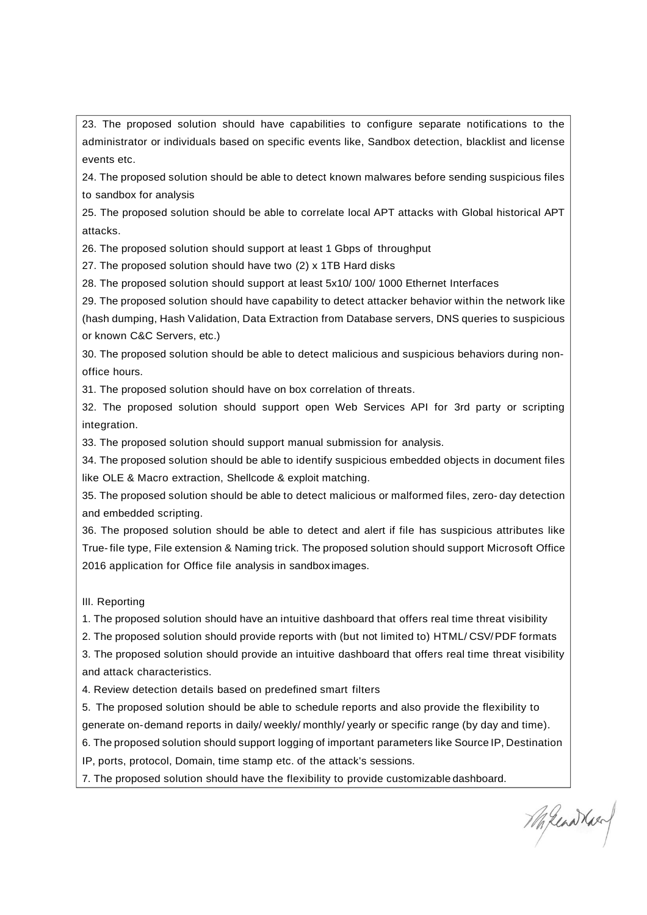23. The proposed solution should have capabilities to configure separate notifications to the administrator or individuals based on specific events like, Sandbox detection, blacklist and license events etc.

24. The proposed solution should be able to detect known malwares before sending suspicious files to sandbox for analysis

25. The proposed solution should be able to correlate local APT attacks with Global historical APT attacks.

26. The proposed solution should support at least 1 Gbps of throughput

27. The proposed solution should have two (2) x 1TB Hard disks

28. The proposed solution should support at least 5x10/ 100/ 1000 Ethernet Interfaces

29. The proposed solution should have capability to detect attacker behavior within the network like (hash dumping, Hash Validation, Data Extraction from Database servers, DNS queries to suspicious or known C&C Servers, etc.)

30. The proposed solution should be able to detect malicious and suspicious behaviors during nonoffice hours.

31. The proposed solution should have on box correlation of threats.

32. The proposed solution should support open Web Services API for 3rd party or scripting integration.

33. The proposed solution should support manual submission for analysis.

34. The proposed solution should be able to identify suspicious embedded objects in document files like OLE & Macro extraction, Shellcode & exploit matching.

35. The proposed solution should be able to detect malicious or malformed files, zero- day detection and embedded scripting.

36. The proposed solution should be able to detect and alert if file has suspicious attributes like True- file type, File extension & Naming trick. The proposed solution should support Microsoft Office 2016 application for Office file analysis in sandbox images.

III. Reporting

1. The proposed solution should have an intuitive dashboard that offers real time threat visibility

2. The proposed solution should provide reports with (but not limited to) HTML/ CSV/PDF formats

3. The proposed solution should provide an intuitive dashboard that offers real time threat visibility and attack characteristics.

4. Review detection details based on predefined smart filters

5. The proposed solution should be able to schedule reports and also provide the flexibility to generate on-demand reports in daily/ weekly/ monthly/ yearly or specific range (by day and time).

6. The proposed solution should support logging of important parameters like Source IP, Destination

IP, ports, protocol, Domain, time stamp etc. of the attack's sessions.

7. The proposed solution should have the flexibility to provide customizable dashboard.

Milcondread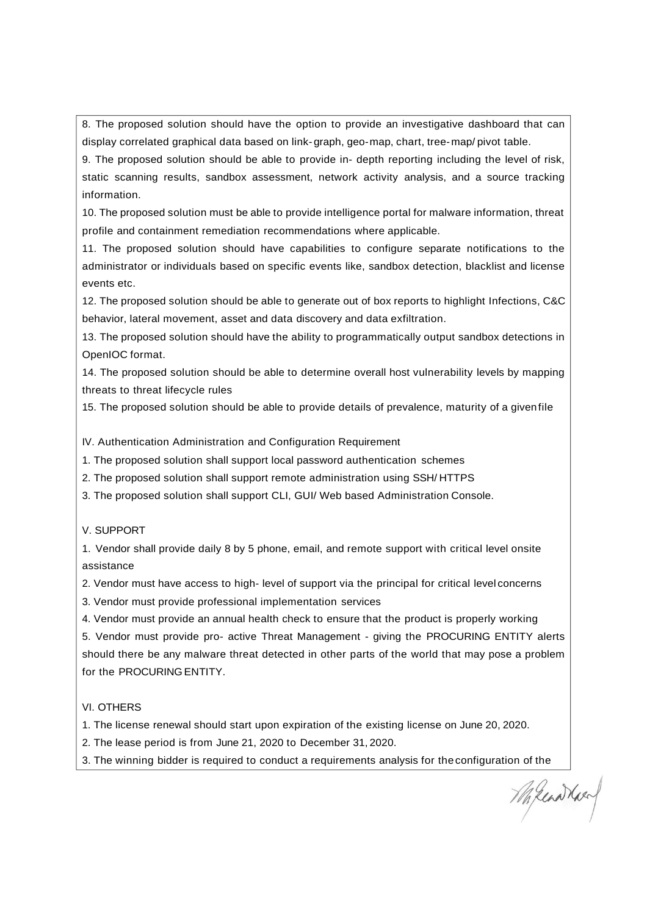8. The proposed solution should have the option to provide an investigative dashboard that can display correlated graphical data based on link-graph, geo-map, chart, tree-map/ pivot table.

9. The proposed solution should be able to provide in- depth reporting including the level of risk, static scanning results, sandbox assessment, network activity analysis, and a source tracking information.

10. The proposed solution must be able to provide intelligence portal for malware information, threat profile and containment remediation recommendations where applicable.

11. The proposed solution should have capabilities to configure separate notifications to the administrator or individuals based on specific events like, sandbox detection, blacklist and license events etc.

12. The proposed solution should be able to generate out of box reports to highlight Infections, C&C behavior, lateral movement, asset and data discovery and data exfiltration.

13. The proposed solution should have the ability to programmatically output sandbox detections in OpenIOC format.

14. The proposed solution should be able to determine overall host vulnerability levels by mapping threats to threat lifecycle rules

15. The proposed solution should be able to provide details of prevalence, maturity of a givenfile

IV. Authentication Administration and Configuration Requirement

1. The proposed solution shall support local password authentication schemes

2. The proposed solution shall support remote administration using SSH/ HTTPS

3. The proposed solution shall support CLI, GUI/ Web based Administration Console.

### V. SUPPORT

1. Vendor shall provide daily 8 by 5 phone, email, and remote support with critical level onsite assistance

2. Vendor must have access to high- level of support via the principal for critical level concerns

3. Vendor must provide professional implementation services

4. Vendor must provide an annual health check to ensure that the product is properly working

5. Vendor must provide pro- active Threat Management - giving the PROCURING ENTITY alerts should there be any malware threat detected in other parts of the world that may pose a problem for the PROCURING ENTITY.

## VI. OTHERS

1. The license renewal should start upon expiration of the existing license on June 20, 2020.

- 2. The lease period is from June 21, 2020 to December 31, 2020.
- 3. The winning bidder is required to conduct a requirements analysis for theconfiguration of the

Milcondrace